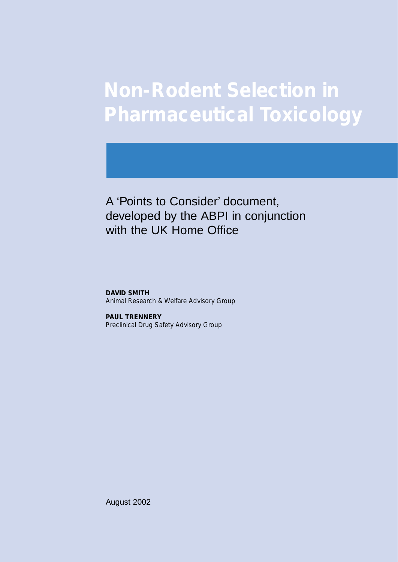# **Non-Rodent Selection in Pharmaceutical Toxicology**

A 'Points to Consider' document, developed by the ABPI in conjunction with the UK Home Office

**DAVID SMITH** *Animal Research & Welfare Advisory Group*

**PAUL TRENNERY** *Preclinical Drug Safety Advisory Group*

August 2002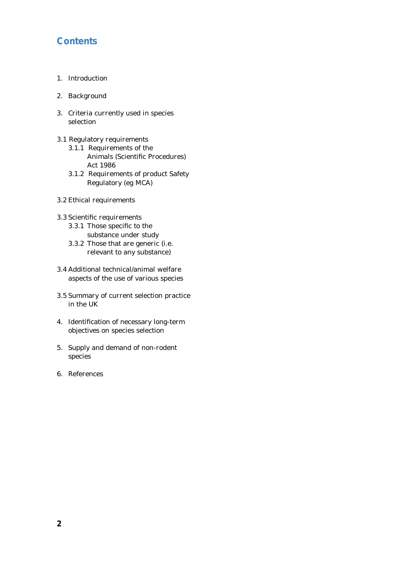# **Contents**

- 1. Introduction
- 2. Background
- 3. Criteria currently used in species selection
- 3.1 Regulatory requirements
	- 3.1.1 Requirements of the Animals (Scientific Procedures) Act 1986
	- 3.1.2 Requirements of product Safety Regulatory (eg MCA)
- 3.2 Ethical requirements
- 3.3 Scientific requirements
	- 3.3.1 Those specific to the substance under study
	- 3.3.2 Those that are generic (i.e. relevant to any substance)
- 3.4 Additional technical/animal welfare aspects of the use of various species
- 3.5 Summary of current selection practice in the UK
- 4. Identification of necessary long-term objectives on species selection
- 5. Supply and demand of non-rodent species
- 6. References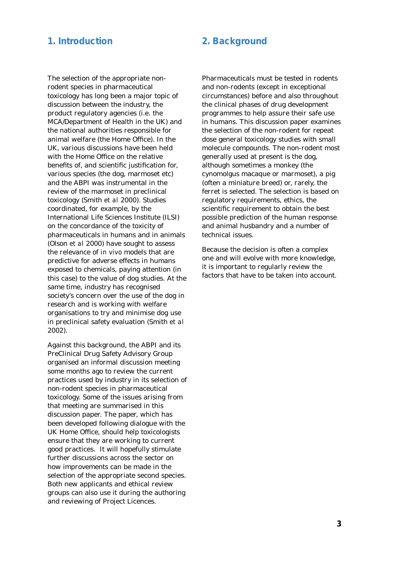## **1. Introduction 2. Background**

The selection of the appropriate nonrodent species in pharmaceutical toxicology has long been a major topic of discussion between the industry, the product regulatory agencies (i.e. the MCA/Department of Health in the UK) and the national authorities responsible for animal welfare (the Home Office). In the UK, various discussions have been held with the Home Office on the relative benefits of, and scientific justification for, various species (the dog, marmoset etc) and the ABPI was instrumental in the review of the marmoset in preclinical toxicology (Smith *et al* 2000). Studies coordinated, for example, by the International Life Sciences Institute (ILSI) on the concordance of the toxicity of pharmaceuticals in humans and in animals (Olson *et al* 2000) have sought to assess the relevance of *in vivo* models that are predictive for adverse effects in humans exposed to chemicals, paying attention (in this case) to the value of dog studies. At the same time, industry has recognised society's concern over the use of the dog in research and is working with welfare organisations to try and minimise dog use in preclinical safety evaluation (Smith *et al* 2002).

Against this background, the ABPI and its PreClinical Drug Safety Advisory Group organised an informal discussion meeting some months ago to review the current practices used by industry in its selection of non-rodent species in pharmaceutical toxicology. Some of the issues arising from that meeting are summarised in this discussion paper. The paper, which has been developed following dialogue with the UK Home Office, should help toxicologists ensure that they are working to current good practices. It will hopefully stimulate further discussions across the sector on how improvements can be made in the selection of the appropriate second species. Both new applicants and ethical review groups can also use it during the authoring and reviewing of Project Licences.

Pharmaceuticals must be tested in rodents and non-rodents (except in exceptional circumstances) before and also throughout the clinical phases of drug development programmes to help assure their safe use in humans. This discussion paper examines the selection of the non-rodent for repeat dose general toxicology studies with small molecule compounds. The non-rodent most generally used at present is the dog, although sometimes a monkey (the cynomolgus macaque or marmoset), a pig (often a miniature breed) or, rarely, the ferret is selected. The selection is based on regulatory requirements, ethics, the scientific requirement to obtain the best possible prediction of the human response and animal husbandry and a number of technical issues.

Because the decision is often a complex one and will evolve with more knowledge, it is important to regularly review the factors that have to be taken into account.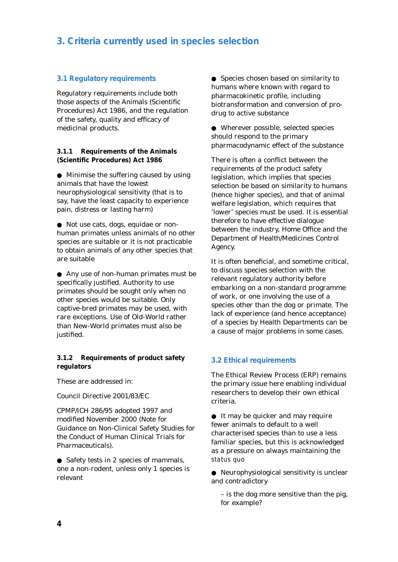# **3. Criteria currently used in species selection**

#### **3.1 Regulatory requirements**

Regulatory requirements include both those aspects of the Animals (Scientific Procedures) Act 1986, and the regulation of the safety, quality and efficacy of medicinal products.

**3.1.1 Requirements of the Animals (Scientific Procedures) Act 1986**

● Minimise the suffering caused by using animals that have the lowest neurophysiological sensitivity (that is to say, have the least capacity to experience pain, distress or lasting harm)

● Not use cats, dogs, equidae or nonhuman primates unless animals of no other species are suitable or it is not practicable to obtain animals of any other species that are suitable

● Any use of non-human primates must be specifically justified. Authority to use primates should be sought only when no other species would be suitable. Only captive-bred primates may be used, with rare exceptions. Use of Old-World rather than New-World primates must also be justified.

**3.1.2 Requirements of product safety regulators**

These are addressed in:

Council Directive 2001/83/EC

CPMP/ICH 286/95 adopted 1997 and modified November 2000 (Note for Guidance on Non-Clinical Safety Studies for the Conduct of Human Clinical Trials for Pharmaceuticals).

● Safety tests in 2 species of mammals, one a non-rodent, unless only 1 species is relevant

● Species chosen based on similarity to humans where known with regard to pharmacokinetic profile, including biotransformation and conversion of prodrug to active substance

● Wherever possible, selected species should respond to the primary pharmacodynamic effect of the substance

There is often a conflict between the requirements of the product safety legislation, which implies that species selection be based on similarity to humans (hence higher species), and that of animal welfare legislation, which requires that 'lower' species must be used. It is essential therefore to have effective dialogue between the industry, Home Office and the Department of Health/Medicines Control Agency.

It is often beneficial, and sometime critical, to discuss species selection with the relevant regulatory authority before embarking on a non-standard programme of work, or one involving the use of a species other than the dog or primate. The lack of experience (and hence acceptance) of a species by Health Departments can be a cause of major problems in some cases.

#### **3.2 Ethical requirements**

The Ethical Review Process (ERP) remains the primary issue here enabling individual researchers to develop their own ethical criteria.

● It may be quicker and may require fewer animals to default to a well characterised species than to use a less familiar species, but this is acknowledged as a pressure on always maintaining the *status quo*

● Neurophysiological sensitivity is unclear and contradictory

– is the dog more sensitive than the pig, for example?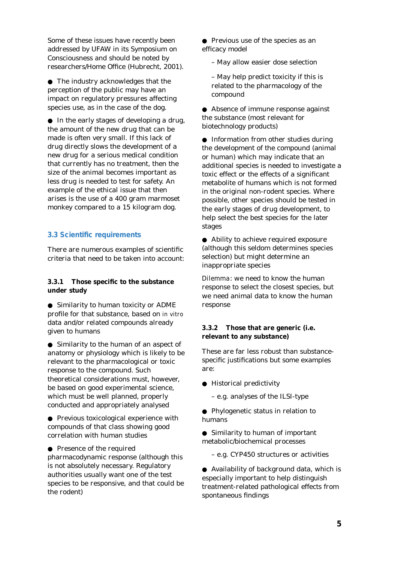Some of these issues have recently been addressed by UFAW in its Symposium on Consciousness and should be noted by researchers/Home Office (Hubrecht, 2001).

● The industry acknowledges that the perception of the public may have an impact on regulatory pressures affecting species use, as in the case of the dog.

● In the early stages of developing a drug, the amount of the new drug that can be made is often very small. If this lack of drug directly slows the development of a new drug for a serious medical condition that currently has no treatment, then the size of the animal becomes important as less drug is needed to test for safety. An example of the ethical issue that then arises is the use of a 400 gram marmoset monkey compared to a 15 kilogram dog.

#### **3.3 Scientific requirements**

There are numerous examples of scientific criteria that need to be taken into account:

**3.3.1 Those specific to the substance under study**

● Similarity to human toxicity or ADME profile for that substance, based on *in vitro* data and/or related compounds already given to humans

● Similarity to the human of an aspect of anatomy or physiology which is likely to be relevant to the pharmacological or toxic response to the compound. Such theoretical considerations must, however, be based on good experimental science, which must be well planned, properly conducted and appropriately analysed

● Previous toxicological experience with compounds of that class showing good correlation with human studies

● Presence of the required

pharmacodynamic response (although this is not absolutely necessary. Regulatory authorities usually want one of the test species to be responsive, and that could be the rodent)

● Previous use of the species as an efficacy model

– May allow easier dose selection

– May help predict toxicity if this is related to the pharmacology of the compound

● Absence of immune response against the substance (most relevant for biotechnology products)

● Information from other studies during the development of the compound (animal or human) which may indicate that an additional species is needed to investigate a toxic effect or the effects of a significant metabolite of humans which is not formed in the original non-rodent species. Where possible, other species should be tested in the early stages of drug development, to help select the best species for the later stages

● Ability to achieve required exposure (although this seldom determines species selection) but might determine an inappropriate species

*Dilemma*: we need to know the human response to select the closest species, but we need animal data to know the human response

**3.3.2 Those that are generic (i.e. relevant to any substance)**

These are far less robust than substancespecific justifications but some examples are:

● Historical predictivity

– e.g. analyses of the ILSI-type

● Phylogenetic status in relation to humans

● Similarity to human of important metabolic/biochemical processes

– e.g. CYP450 structures or activities

● Availability of background data, which is especially important to help distinguish treatment-related pathological effects from spontaneous findings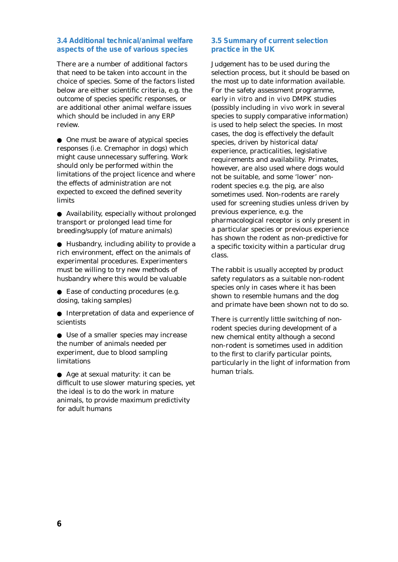#### **3.4 Additional technical/animal welfare aspects of the use of various species**

There are a number of additional factors that need to be taken into account in the choice of species. Some of the factors listed below are either scientific criteria, e.g. the outcome of species specific responses, or are additional other animal welfare issues which should be included in any ERP review.

● One must be aware of atypical species responses (i.e. Cremaphor in dogs) which might cause unnecessary suffering. Work should only be performed within the limitations of the project licence and where the effects of administration are not expected to exceed the defined severity limits

● Availability, especially without prolonged transport or prolonged lead time for breeding/supply (of mature animals)

● Husbandry, including ability to provide a rich environment, effect on the animals of experimental procedures. Experimenters must be willing to try new methods of husbandry where this would be valuable

● Ease of conducting procedures (e.g. dosing, taking samples)

● Interpretation of data and experience of scientists

● Use of a smaller species may increase the number of animals needed per experiment, due to blood sampling limitations

● Age at sexual maturity: it can be difficult to use slower maturing species, yet the ideal is to do the work in mature animals, to provide maximum predictivity for adult humans

#### **3.5 Summary of current selection practice in the UK**

Judgement has to be used during the selection process, but it should be based on the most up to date information available. For the safety assessment programme, early *in vitro* and *in vivo* DMPK studies (possibly including *in vivo* work in several species to supply comparative information) is used to help select the species. In most cases, the dog is effectively the default species, driven by historical data/ experience, practicalities, legislative requirements and availability. Primates, however, are also used where dogs would not be suitable, and some 'lower' nonrodent species e.g. the pig, are also sometimes used. Non-rodents are rarely used for screening studies unless driven by previous experience, e.g. the pharmacological receptor is only present in a particular species or previous experience has shown the rodent as non-predictive for a specific toxicity within a particular drug class.

The rabbit is usually accepted by product safety regulators as a suitable non-rodent species only in cases where it has been shown to resemble humans and the dog and primate have been shown not to do so.

There is currently little switching of nonrodent species during development of a new chemical entity although a second non-rodent is sometimes used in addition to the first to clarify particular points, particularly in the light of information from human trials.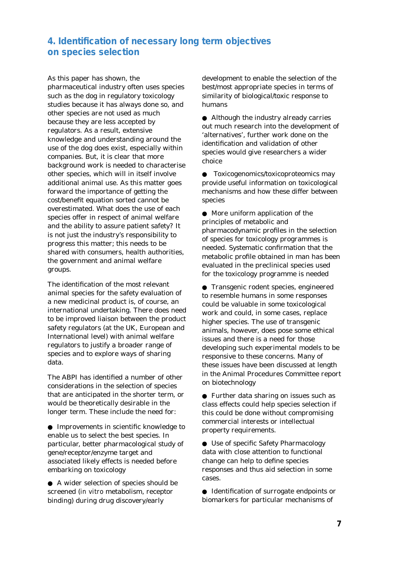# **4. Identification of necessary long term objectives on species selection**

As this paper has shown, the pharmaceutical industry often uses species such as the dog in regulatory toxicology studies because it has always done so, and other species are not used as much because they are less accepted by regulators. As a result, extensive knowledge and understanding around the use of the dog does exist, especially within companies. But, it is clear that more background work is needed to characterise other species, which will in itself involve additional animal use. As this matter goes forward the importance of getting the cost/benefit equation sorted cannot be overestimated. What does the use of each species offer in respect of animal welfare and the ability to assure patient safety? It is not just the industry's responsibility to progress this matter; this needs to be shared with consumers, health authorities, the government and animal welfare groups.

The identification of the most relevant animal species for the safety evaluation of a new medicinal product is, of course, an international undertaking. There does need to be improved liaison between the product safety regulators (at the UK, European and International level) with animal welfare regulators to justify a broader range of species and to explore ways of sharing data.

The ABPI has identified a number of other considerations in the selection of species that are anticipated in the shorter term, or would be theoretically desirable in the longer term. These include the need for:

● Improvements in scientific knowledge to enable us to select the best species. In particular, better pharmacological study of gene/receptor/enzyme target and associated likely effects is needed before embarking on toxicology

● A wider selection of species should be screened (*in vitro* metabolism, receptor binding) during drug discovery/early

development to enable the selection of the best/most appropriate species in terms of similarity of biological/toxic response to humans

● Although the industry already carries out much research into the development of 'alternatives', further work done on the identification and validation of other species would give researchers a wider choice

● Toxicogenomics/toxicoproteomics may provide useful information on toxicological mechanisms and how these differ between species

● More uniform application of the principles of metabolic and pharmacodynamic profiles in the selection of species for toxicology programmes is needed. Systematic confirmation that the metabolic profile obtained in man has been evaluated in the preclinical species used for the toxicology programme is needed

● Transgenic rodent species, engineered to resemble humans in some responses could be valuable in some toxicological work and could, in some cases, replace higher species. The use of transgenic animals, however, does pose some ethical issues and there is a need for those developing such experimental models to be responsive to these concerns. Many of these issues have been discussed at length in the Animal Procedures Committee report on biotechnology

● Further data sharing on issues such as class effects could help species selection if this could be done without compromising commercial interests or intellectual property requirements.

● Use of specific Safety Pharmacology data with close attention to functional change can help to define species responses and thus aid selection in some cases.

● Identification of surrogate endpoints or biomarkers for particular mechanisms of